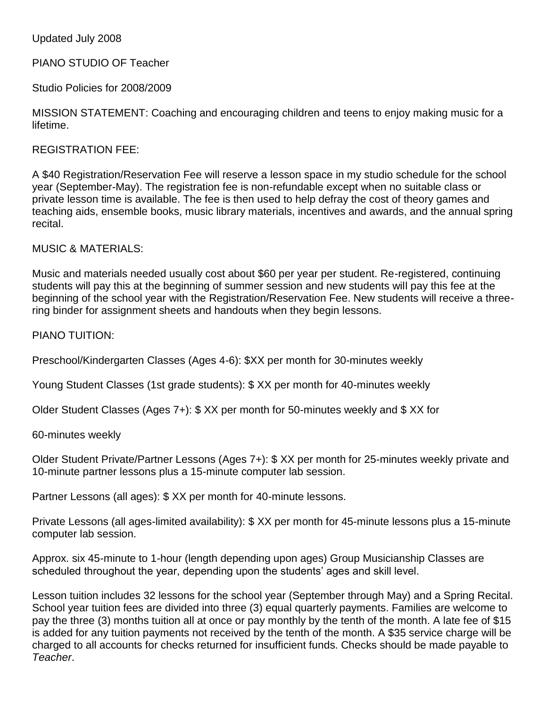#### Updated July 2008

## PIANO STUDIO OF Teacher

Studio Policies for 2008/2009

MISSION STATEMENT: Coaching and encouraging children and teens to enjoy making music for a lifetime.

#### REGISTRATION FEE:

A \$40 Registration/Reservation Fee will reserve a lesson space in my studio schedule for the school year (September-May). The registration fee is non-refundable except when no suitable class or private lesson time is available. The fee is then used to help defray the cost of theory games and teaching aids, ensemble books, music library materials, incentives and awards, and the annual spring recital.

MUSIC & MATERIALS:

Music and materials needed usually cost about \$60 per year per student. Re-registered, continuing students will pay this at the beginning of summer session and new students will pay this fee at the beginning of the school year with the Registration/Reservation Fee. New students will receive a threering binder for assignment sheets and handouts when they begin lessons.

PIANO TUITION:

Preschool/Kindergarten Classes (Ages 4-6): \$XX per month for 30-minutes weekly

Young Student Classes (1st grade students): \$ XX per month for 40-minutes weekly

Older Student Classes (Ages 7+): \$ XX per month for 50-minutes weekly and \$ XX for

60-minutes weekly

Older Student Private/Partner Lessons (Ages 7+): \$ XX per month for 25-minutes weekly private and 10-minute partner lessons plus a 15-minute computer lab session.

Partner Lessons (all ages): \$ XX per month for 40-minute lessons.

Private Lessons (all ages-limited availability): \$ XX per month for 45-minute lessons plus a 15-minute computer lab session.

Approx. six 45-minute to 1-hour (length depending upon ages) Group Musicianship Classes are scheduled throughout the year, depending upon the students' ages and skill level.

Lesson tuition includes 32 lessons for the school year (September through May) and a Spring Recital. School year tuition fees are divided into three (3) equal quarterly payments. Families are welcome to pay the three (3) months tuition all at once or pay monthly by the tenth of the month. A late fee of \$15 is added for any tuition payments not received by the tenth of the month. A \$35 service charge will be charged to all accounts for checks returned for insufficient funds. Checks should be made payable to *Teacher*.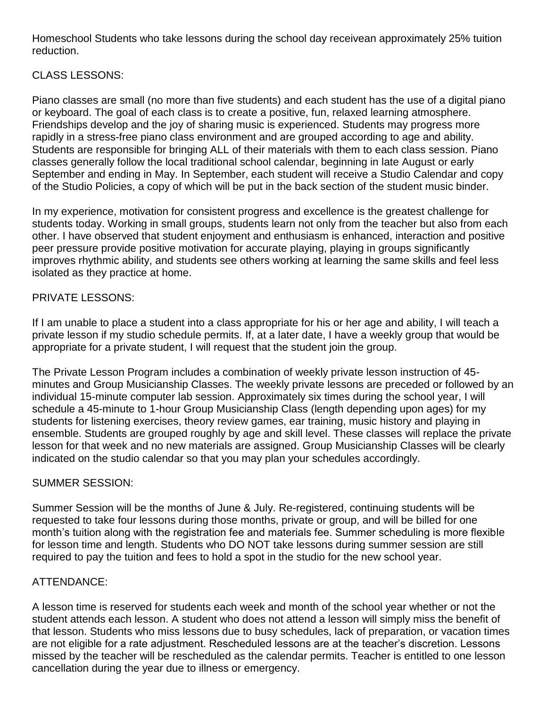Homeschool Students who take lessons during the school day receivean approximately 25% tuition reduction.

# CLASS LESSONS:

Piano classes are small (no more than five students) and each student has the use of a digital piano or keyboard. The goal of each class is to create a positive, fun, relaxed learning atmosphere. Friendships develop and the joy of sharing music is experienced. Students may progress more rapidly in a stress-free piano class environment and are grouped according to age and ability. Students are responsible for bringing ALL of their materials with them to each class session. Piano classes generally follow the local traditional school calendar, beginning in late August or early September and ending in May. In September, each student will receive a Studio Calendar and copy of the Studio Policies, a copy of which will be put in the back section of the student music binder.

In my experience, motivation for consistent progress and excellence is the greatest challenge for students today. Working in small groups, students learn not only from the teacher but also from each other. I have observed that student enjoyment and enthusiasm is enhanced, interaction and positive peer pressure provide positive motivation for accurate playing, playing in groups significantly improves rhythmic ability, and students see others working at learning the same skills and feel less isolated as they practice at home.

## PRIVATE LESSONS:

If I am unable to place a student into a class appropriate for his or her age and ability, I will teach a private lesson if my studio schedule permits. If, at a later date, I have a weekly group that would be appropriate for a private student, I will request that the student join the group.

The Private Lesson Program includes a combination of weekly private lesson instruction of 45 minutes and Group Musicianship Classes. The weekly private lessons are preceded or followed by an individual 15-minute computer lab session. Approximately six times during the school year, I will schedule a 45-minute to 1-hour Group Musicianship Class (length depending upon ages) for my students for listening exercises, theory review games, ear training, music history and playing in ensemble. Students are grouped roughly by age and skill level. These classes will replace the private lesson for that week and no new materials are assigned. Group Musicianship Classes will be clearly indicated on the studio calendar so that you may plan your schedules accordingly.

#### SUMMER SESSION:

Summer Session will be the months of June & July. Re-registered, continuing students will be requested to take four lessons during those months, private or group, and will be billed for one month's tuition along with the registration fee and materials fee. Summer scheduling is more flexible for lesson time and length. Students who DO NOT take lessons during summer session are still required to pay the tuition and fees to hold a spot in the studio for the new school year.

## ATTENDANCE:

A lesson time is reserved for students each week and month of the school year whether or not the student attends each lesson. A student who does not attend a lesson will simply miss the benefit of that lesson. Students who miss lessons due to busy schedules, lack of preparation, or vacation times are not eligible for a rate adjustment. Rescheduled lessons are at the teacher's discretion. Lessons missed by the teacher will be rescheduled as the calendar permits. Teacher is entitled to one lesson cancellation during the year due to illness or emergency.